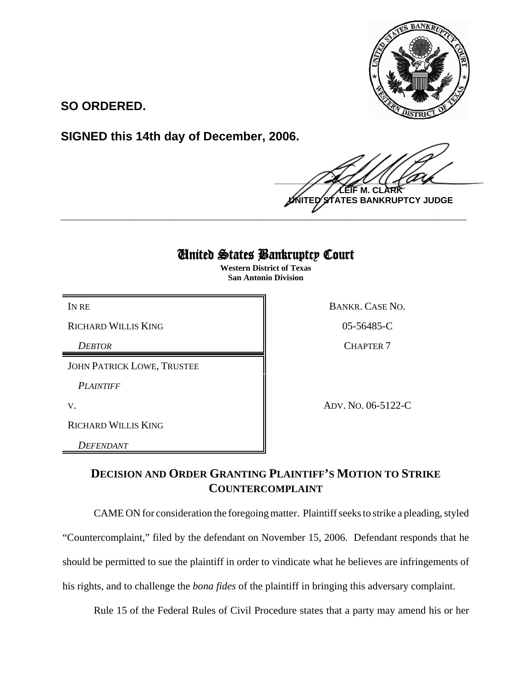

**SO ORDERED.**

**SIGNED this 14th day of December, 2006.**

 $\frac{1}{2}$ **M. C UNITED STATES BANKRUPTCY JUDGE**

## United States Bankruptcy Court

**\_\_\_\_\_\_\_\_\_\_\_\_\_\_\_\_\_\_\_\_\_\_\_\_\_\_\_\_\_\_\_\_\_\_\_\_\_\_\_\_\_\_\_\_\_\_\_\_\_\_\_\_\_\_\_\_\_\_\_\_**

**Western District of Texas San Antonio Division**

RICHARD WILLIS KING 05-56485-C

*DEBTOR* CHAPTER 7

JOHN PATRICK LOWE, TRUSTEE

*PLAINTIFF* 

RICHARD WILLIS KING

*DEFENDANT* 

IN RE BANKR. CASE NO.

V. ADV. NO. 06-5122-C

## **DECISION AND ORDER GRANTING PLAINTIFF'S MOTION TO STRIKE COUNTERCOMPLAINT**

CAME ON for consideration the foregoing matter. Plaintiff seeks to strike a pleading, styled

"Countercomplaint," filed by the defendant on November 15, 2006. Defendant responds that he

should be permitted to sue the plaintiff in order to vindicate what he believes are infringements of

his rights, and to challenge the *bona fides* of the plaintiff in bringing this adversary complaint.

Rule 15 of the Federal Rules of Civil Procedure states that a party may amend his or her